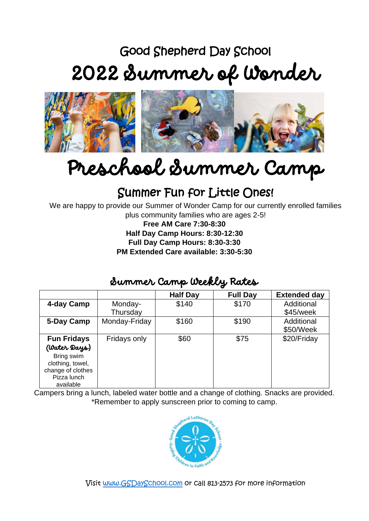## Good Shepherd Day School 2022 Summer of Wonder



# Preschool Summer Camp

## Summer Fun for Little Ones!

We are happy to provide our Summer of Wonder Camp for our currently enrolled families plus community families who are ages 2-5!

**Free AM Care 7:30-8:30 Half Day Camp Hours: 8:30-12:30 Full Day Camp Hours: 8:30-3:30 PM Extended Care available: 3:30-5:30** 

### Summer Camp Weekly Rates

|                    |               | <b>Half Day</b> | <b>Full Day</b> | <b>Extended day</b> |  |  |  |  |  |
|--------------------|---------------|-----------------|-----------------|---------------------|--|--|--|--|--|
| 4-day Camp         | Monday-       | \$140           | \$170           | Additional          |  |  |  |  |  |
|                    | Thursday      |                 |                 | \$45/week           |  |  |  |  |  |
| 5-Day Camp         | Monday-Friday | \$160           | \$190           | Additional          |  |  |  |  |  |
|                    |               |                 |                 | \$50/Week           |  |  |  |  |  |
| <b>Fun Fridays</b> | Fridays only  | \$60            | \$75            | \$20/Friday         |  |  |  |  |  |
| (Water Days)       |               |                 |                 |                     |  |  |  |  |  |
| Bring swim         |               |                 |                 |                     |  |  |  |  |  |
| clothing, towel,   |               |                 |                 |                     |  |  |  |  |  |
| change of clothes  |               |                 |                 |                     |  |  |  |  |  |
| Pizza lunch        |               |                 |                 |                     |  |  |  |  |  |
| available          |               |                 |                 |                     |  |  |  |  |  |

Campers bring a lunch, labeled water bottle and a change of clothing. Snacks are provided. \*Remember to apply sunscreen prior to coming to camp.



Visit [www.GSDaySchool.com](http://www.gsdayschool.com/) or call 813-2573 for more information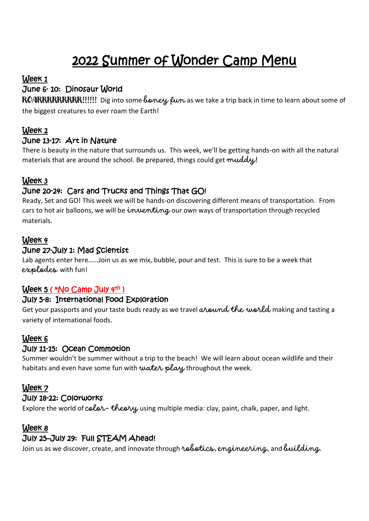## 2022 Summer of Wonder Camp Menu

#### Week 1

#### June 6- 10: Dinosaur World

ROARRRRRRRRRI!!!!! Dig into some *boney fun* as we take a trip back in time to learn about some of the biggest creatures to ever roam the Earth!

#### Week 2

#### June 13-17: Art in Nature

There is beauty in the nature that surrounds us. This week, we'll be getting hands-on with all the natural materials that are around the school. Be prepared, things could get muddy.

#### Week 3

#### June 20-24: Cars and Trucks and Things That GO!

Ready, Set and GO! This week we will be hands-on discovering different means of transportation. From cars to hot air balloons, we will be inventing our own ways of transportation through recycled materials.

#### Week 4

#### June 27-July 1: Mad Scientist

Lab agents enter here……Join us as we mix, bubble, pour and test. This is sure to be a week that explodes with fun!

#### <u>Week 5 (\*No Camp July 4th )</u>

#### July 5-8: International Food Exploration

Get your passports and your taste buds ready as we travel around the world making and tasting a variety of international foods.

#### Week 6

#### July 11-15: Ocean Commotion

Summer wouldn't be summer without a trip to the beach! We will learn about ocean wildlife and their habitats and even have some fun with water play throughout the week.

#### Week 7

#### July 18-22: Colorworks

Explore the world of  $color-$  theory using multiple media: clay, paint, chalk, paper, and light.

#### Week 8

#### July 25–July 29: Full STEAM Ahead!

Join us as we discover, create, and innovate through robotics, engineering, and building.